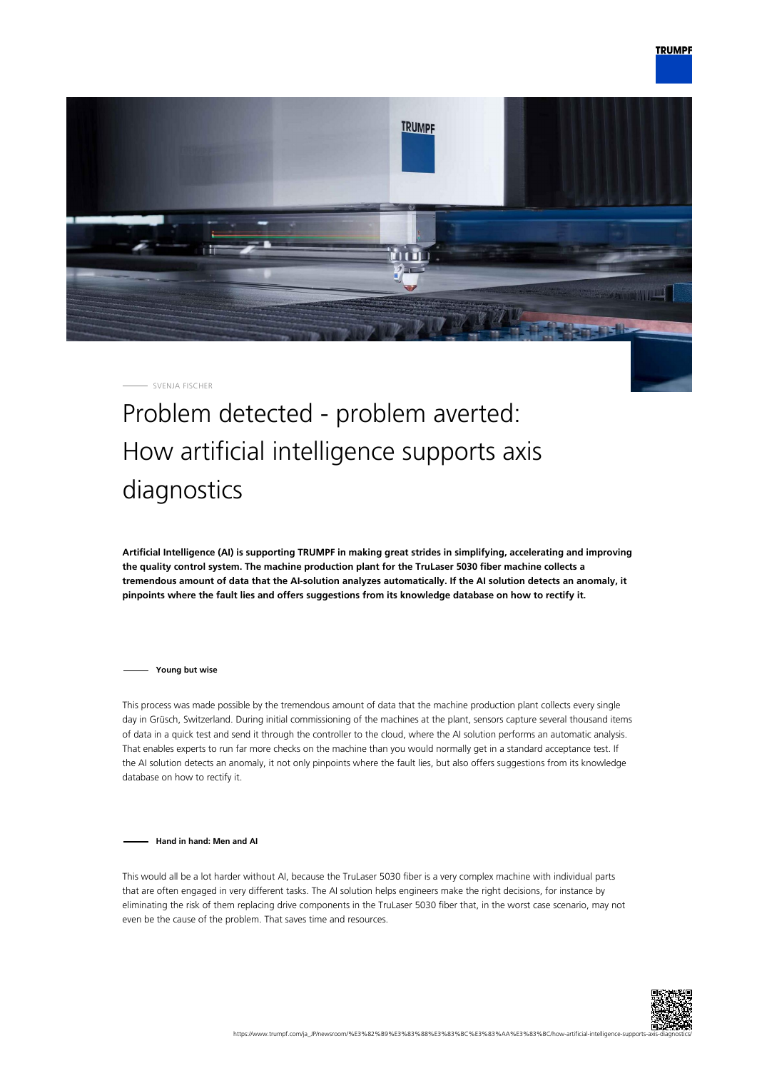

SVENJA FISCHER

## Problem detected - problem averted: How artificial intelligence supports axis diagnostics

**Artificial Intelligence (AI) is supporting TRUMPF in making great strides in simplifying, accelerating and improving the quality control system. The machine production plant for the TruLaser 5030 fiber machine collects a tremendous amount of data that the AI-solution analyzes automatically. If the AI solution detects an anomaly, it pinpoints where the fault lies and offers suggestions from its knowledge database on how to rectify it.**

**Young but wise**

This process was made possible by the tremendous amount of data that the machine production plant collects every single day in Grüsch, Switzerland. During initial commissioning of the machines at the plant, sensors capture several thousand items of data in a quick test and send it through the controller to the cloud, where the AI solution performs an automatic analysis. That enables experts to run far more checks on the machine than you would normally get in a standard acceptance test. If the AI solution detects an anomaly, it not only pinpoints where the fault lies, but also offers suggestions from its knowledge database on how to rectify it.

**Hand in hand: Men and AI**

This would all be a lot harder without AI, because the TruLaser 5030 fiber is a very complex machine with individual parts that are often engaged in very different tasks. The AI solution helps engineers make the right decisions, for instance by eliminating the risk of them replacing drive components in the TruLaser 5030 fiber that, in the worst case scenario, may not even be the cause of the problem. That saves time and resources.